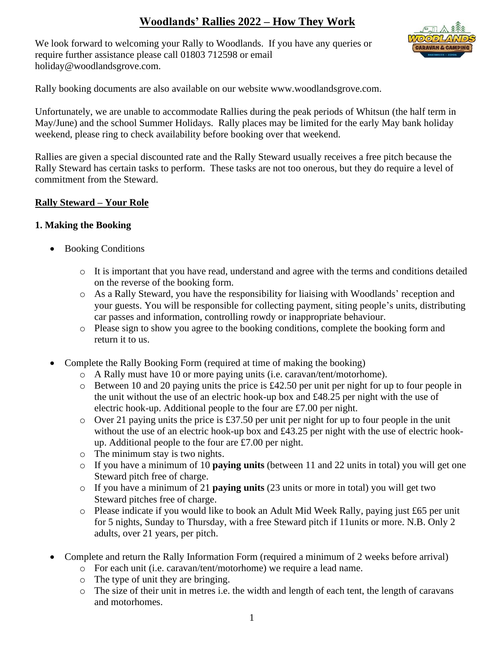# **Woodlands' Rallies 2022 – How They Work**

We look forward to welcoming your Rally to Woodlands. If you have any queries or require further assistance please call 01803 712598 or email holiday@woodlandsgrove.com.



Rally booking documents are also available on our website www.woodlandsgrove.com.

Unfortunately, we are unable to accommodate Rallies during the peak periods of Whitsun (the half term in May/June) and the school Summer Holidays. Rally places may be limited for the early May bank holiday weekend, please ring to check availability before booking over that weekend.

Rallies are given a special discounted rate and the Rally Steward usually receives a free pitch because the Rally Steward has certain tasks to perform. These tasks are not too onerous, but they do require a level of commitment from the Steward.

#### **Rally Steward – Your Role**

#### **1. Making the Booking**

- Booking Conditions
	- o It is important that you have read, understand and agree with the terms and conditions detailed on the reverse of the booking form.
	- o As a Rally Steward, you have the responsibility for liaising with Woodlands' reception and your guests. You will be responsible for collecting payment, siting people's units, distributing car passes and information, controlling rowdy or inappropriate behaviour.
	- o Please sign to show you agree to the booking conditions, complete the booking form and return it to us.
- Complete the Rally Booking Form (required at time of making the booking)
	- o A Rally must have 10 or more paying units (i.e. caravan/tent/motorhome).
	- o Between 10 and 20 paying units the price is £42.50 per unit per night for up to four people in the unit without the use of an electric hook-up box and £48.25 per night with the use of electric hook-up. Additional people to the four are £7.00 per night.
	- o Over 21 paying units the price is £37.50 per unit per night for up to four people in the unit without the use of an electric hook-up box and £43.25 per night with the use of electric hookup. Additional people to the four are £7.00 per night.
	- o The minimum stay is two nights.
	- o If you have a minimum of 10 **paying units** (between 11 and 22 units in total) you will get one Steward pitch free of charge.
	- o If you have a minimum of 21 **paying units** (23 units or more in total) you will get two Steward pitches free of charge.
	- o Please indicate if you would like to book an Adult Mid Week Rally, paying just £65 per unit for 5 nights, Sunday to Thursday, with a free Steward pitch if 11units or more. N.B. Only 2 adults, over 21 years, per pitch.
- Complete and return the Rally Information Form (required a minimum of 2 weeks before arrival)
	- o For each unit (i.e. caravan/tent/motorhome) we require a lead name.
	- o The type of unit they are bringing.
	- o The size of their unit in metres i.e. the width and length of each tent, the length of caravans and motorhomes.